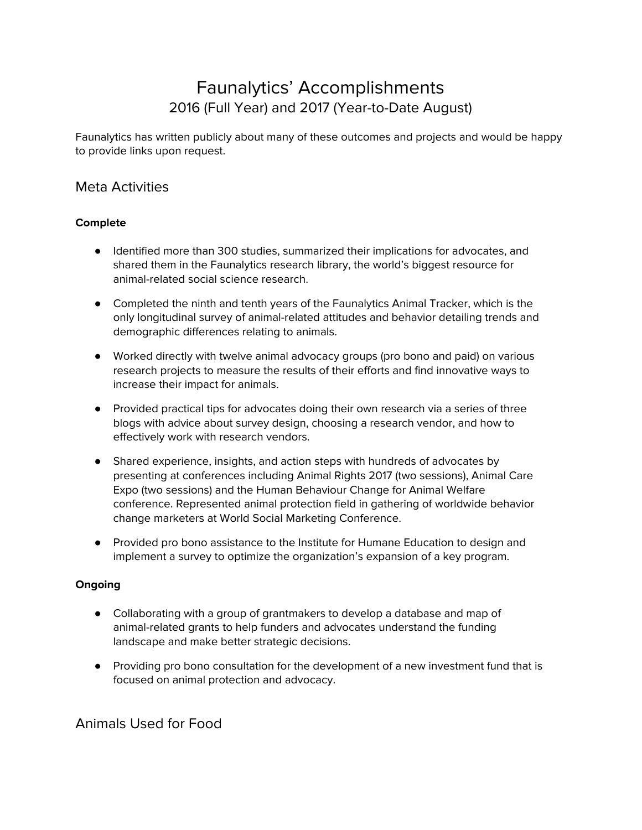# Faunalytics' Accomplishments 2016 (Full Year) and 2017 (Year-to-Date August)

Faunalytics has written publicly about many of these outcomes and projects and would be happy to provide links upon request.

## Meta Activities

#### **Complete**

- Identified more than 300 studies, summarized their implications for advocates, and shared them in the Faunalytics research library, the world's biggest resource for animal-related social science research.
- Completed the ninth and tenth years of the Faunalytics Animal Tracker, which is the only longitudinal survey of animal-related attitudes and behavior detailing trends and demographic differences relating to animals.
- Worked directly with twelve animal advocacy groups (pro bono and paid) on various research projects to measure the results of their efforts and find innovative ways to increase their impact for animals.
- Provided practical tips for advocates doing their own research via a series of three blogs with advice about survey design, choosing a research vendor, and how to effectively work with research vendors.
- Shared experience, insights, and action steps with hundreds of advocates by presenting at conferences including Animal Rights 2017 (two sessions), Animal Care Expo (two sessions) and the Human Behaviour Change for Animal Welfare conference. Represented animal protection field in gathering of worldwide behavior change marketers at World Social Marketing Conference.
- Provided pro bono assistance to the Institute for Humane Education to design and implement a survey to optimize the organization's expansion of a key program.

#### **Ongoing**

- Collaborating with a group of grantmakers to develop a database and map of animal-related grants to help funders and advocates understand the funding landscape and make better strategic decisions.
- Providing pro bono consultation for the development of a new investment fund that is focused on animal protection and advocacy.

## Animals Used for Food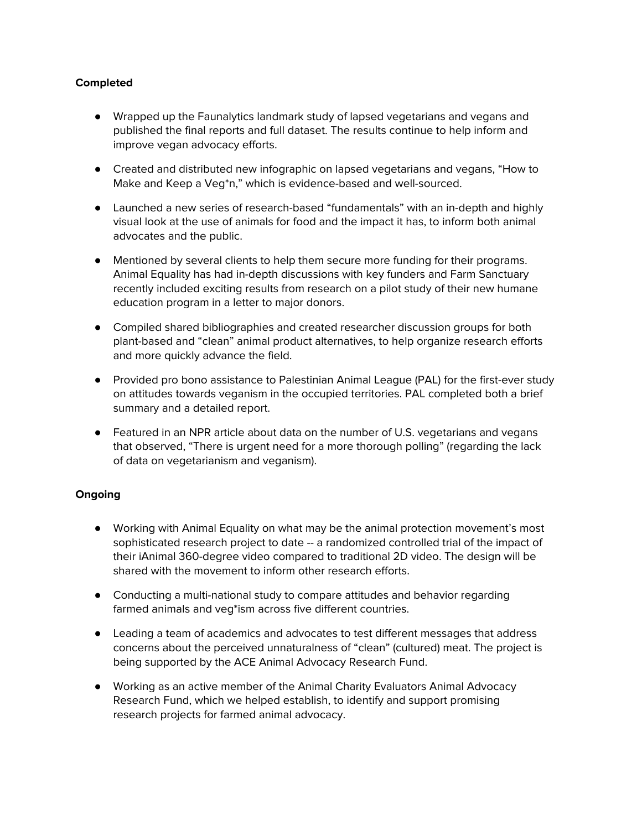#### **Completed**

- Wrapped up the Faunalytics landmark study of lapsed vegetarians and vegans and published the final reports and full dataset. The results continue to help inform and improve vegan advocacy efforts.
- Created and distributed new infographic on lapsed vegetarians and vegans, "How to Make and Keep a Veg\*n," which is evidence-based and well-sourced.
- Launched a new series of research-based "fundamentals" with an in-depth and highly visual look at the use of animals for food and the impact it has, to inform both animal advocates and the public.
- Mentioned by several clients to help them secure more funding for their programs. Animal Equality has had in-depth discussions with key funders and Farm Sanctuary recently included exciting results from research on a pilot study of their new humane education program in a letter to major donors.
- Compiled shared bibliographies and created researcher discussion groups for both plant-based and "clean" animal product alternatives, to help organize research efforts and more quickly advance the field.
- Provided pro bono assistance to Palestinian Animal League (PAL) for the first-ever study on attitudes towards veganism in the occupied territories. PAL completed both a brief summary and a detailed report.
- Featured in an NPR article about data on the number of U.S. vegetarians and vegans that observed, "There is urgent need for a more thorough polling" (regarding the lack of data on vegetarianism and veganism).

#### **Ongoing**

- Working with Animal Equality on what may be the animal protection movement's most sophisticated research project to date -- a randomized controlled trial of the impact of their iAnimal 360-degree video compared to traditional 2D video. The design will be shared with the movement to inform other research efforts.
- Conducting a multi-national study to compare attitudes and behavior regarding farmed animals and veg\*ism across five different countries.
- Leading a team of academics and advocates to test different messages that address concerns about the perceived unnaturalness of "clean" (cultured) meat. The project is being supported by the ACE Animal Advocacy Research Fund.
- Working as an active member of the Animal Charity Evaluators Animal Advocacy Research Fund, which we helped establish, to identify and support promising research projects for farmed animal advocacy.